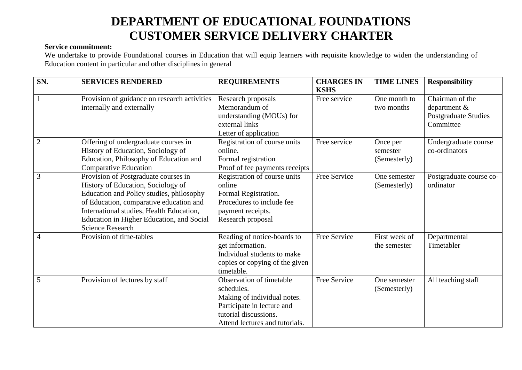## **DEPARTMENT OF EDUCATIONAL FOUNDATIONS CUSTOMER SERVICE DELIVERY CHARTER**

## **Service commitment:**

We undertake to provide Foundational courses in Education that will equip learners with requisite knowledge to widen the understanding of Education content in particular and other disciplines in general

| SN.            | <b>SERVICES RENDERED</b>                     | <b>REQUIREMENTS</b>            | <b>CHARGES IN</b> | <b>TIME LINES</b> | <b>Responsibility</b>       |
|----------------|----------------------------------------------|--------------------------------|-------------------|-------------------|-----------------------------|
|                |                                              |                                | <b>KSHS</b>       |                   |                             |
|                | Provision of guidance on research activities | Research proposals             | Free service      | One month to      | Chairman of the             |
|                | internally and externally                    | Memorandum of                  |                   | two months        | department &                |
|                |                                              | understanding (MOUs) for       |                   |                   | <b>Postgraduate Studies</b> |
|                |                                              | external links                 |                   |                   | Committee                   |
|                |                                              | Letter of application          |                   |                   |                             |
| $\overline{2}$ | Offering of undergraduate courses in         | Registration of course units   | Free service      | Once per          | Undergraduate course        |
|                | History of Education, Sociology of           | online.                        |                   | semester          | co-ordinators               |
|                | Education, Philosophy of Education and       | Formal registration            |                   | (Semesterly)      |                             |
|                | <b>Comparative Education</b>                 | Proof of fee payments receipts |                   |                   |                             |
| 3              | Provision of Postgraduate courses in         | Registration of course units   | Free Service      | One semester      | Postgraduate course co-     |
|                | History of Education, Sociology of           | online                         |                   | (Semesterly)      | ordinator                   |
|                | Education and Policy studies, philosophy     | Formal Registration.           |                   |                   |                             |
|                | of Education, comparative education and      | Procedures to include fee      |                   |                   |                             |
|                | International studies, Health Education,     | payment receipts.              |                   |                   |                             |
|                | Education in Higher Education, and Social    | Research proposal              |                   |                   |                             |
|                | <b>Science Research</b>                      |                                |                   |                   |                             |
| 4              | Provision of time-tables                     | Reading of notice-boards to    | Free Service      | First week of     | Departmental                |
|                |                                              | get information.               |                   | the semester      | Timetabler                  |
|                |                                              | Individual students to make    |                   |                   |                             |
|                |                                              | copies or copying of the given |                   |                   |                             |
|                |                                              | timetable.                     |                   |                   |                             |
| 5              | Provision of lectures by staff               | Observation of timetable       | Free Service      | One semester      | All teaching staff          |
|                |                                              | schedules.                     |                   | (Semesterly)      |                             |
|                |                                              | Making of individual notes.    |                   |                   |                             |
|                |                                              | Participate in lecture and     |                   |                   |                             |
|                |                                              | tutorial discussions.          |                   |                   |                             |
|                |                                              | Attend lectures and tutorials. |                   |                   |                             |